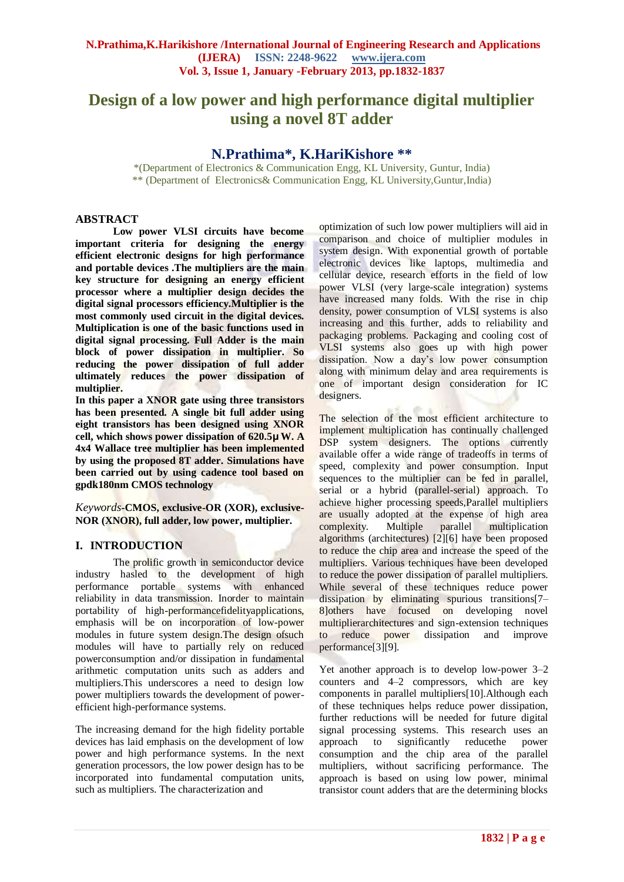# **Design of a low power and high performance digital multiplier using a novel 8T adder**

## **N.Prathima\*, K.HariKishore \*\***

\*(Department of Electronics & Communication Engg, KL University, Guntur, India) \*\* (Department of Electronics& Communication Engg, KL University,Guntur,India)

### **ABSTRACT**

**Low power VLSI circuits have become important criteria for designing the energy efficient electronic designs for high performance and portable devices .The multipliers are the main key structure for designing an energy efficient processor where a multiplier design decides the digital signal processors efficiency.Multiplier is the most commonly used circuit in the digital devices. Multiplication is one of the basic functions used in digital signal processing. Full Adder is the main block of power dissipation in multiplier. So reducing the power dissipation of full adder ultimately reduces the power dissipation of multiplier.** 

**In this paper a XNOR gate using three transistors has been presented. A single bit full adder using eight transistors has been designed using XNOR cell, which shows power dissipation of 620.5μ W. A 4x4 Wallace tree multiplier has been implemented by using the proposed 8T adder. Simulations have been carried out by using cadence tool based on gpdk180nm CMOS technology**

*Keywords***-CMOS, exclusive-OR (XOR), exclusive-NOR (XNOR), full adder, low power, multiplier.**

## **I. INTRODUCTION**

The prolific growth in semiconductor device industry hasled to the development of high performance portable systems with enhanced reliability in data transmission. Inorder to maintain portability of high-performancefidelityapplications, emphasis will be on incorporation of low-power modules in future system design.The design ofsuch modules will have to partially rely on reduced powerconsumption and/or dissipation in fundamental arithmetic computation units such as adders and multipliers.This underscores a need to design low power multipliers towards the development of powerefficient high-performance systems.

The increasing demand for the high fidelity portable devices has laid emphasis on the development of low power and high performance systems. In the next generation processors, the low power design has to be incorporated into fundamental computation units, such as multipliers. The characterization and

optimization of such low power multipliers will aid in comparison and choice of multiplier modules in system design. With exponential growth of portable electronic devices like laptops, multimedia and cellular device, research efforts in the field of low power VLSI (very large-scale integration) systems have increased many folds. With the rise in chip density, power consumption of VLSI systems is also increasing and this further, adds to reliability and packaging problems. Packaging and cooling cost of VLSI systems also goes up with high power dissipation. Now a day's low power consumption along with minimum delay and area requirements is one of important design consideration for IC designers.

The selection of the most efficient architecture to implement multiplication has continually challenged DSP system designers. The options currently available offer a wide range of tradeoffs in terms of speed, complexity and power consumption. Input sequences to the multiplier can be fed in parallel, serial or a hybrid (parallel-serial) approach. To achieve higher processing speeds,Parallel multipliers are usually adopted at the expense of high area complexity. Multiple parallel multiplication algorithms (architectures) [2][6] have been proposed to reduce the chip area and increase the speed of the multipliers. Various techniques have been developed to reduce the power dissipation of parallel multipliers. While several of these techniques reduce power dissipation by eliminating spurious transitions[7– 8]others have focused on developing novel multiplierarchitectures and sign-extension techniques to reduce power dissipation and improve performance[3][9].

Yet another approach is to develop low-power 3–2 counters and 4–2 compressors, which are key components in parallel multipliers[10].Although each of these techniques helps reduce power dissipation, further reductions will be needed for future digital signal processing systems. This research uses an approach to significantly reducethe power consumption and the chip area of the parallel multipliers, without sacrificing performance. The approach is based on using low power, minimal transistor count adders that are the determining blocks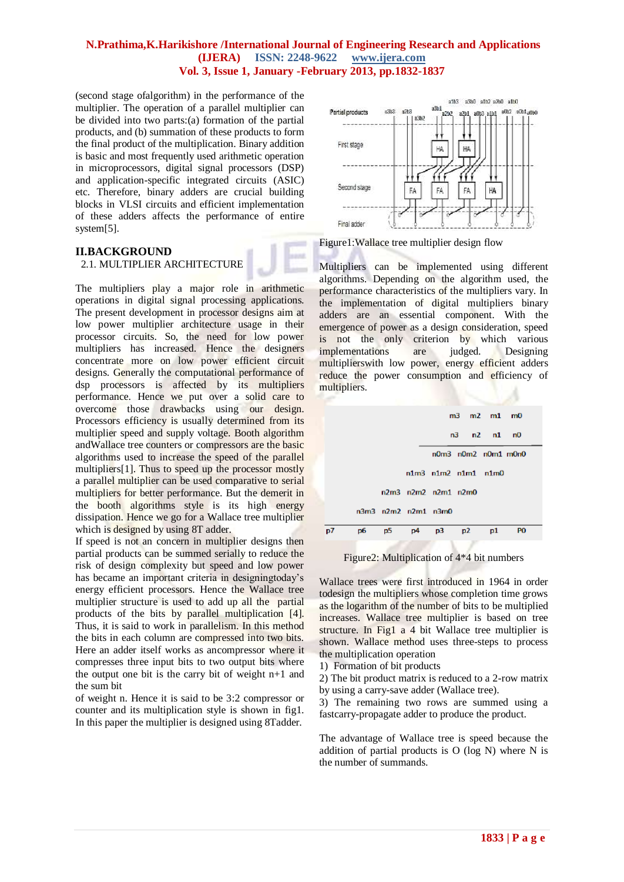(second stage ofalgorithm) in the performance of the multiplier. The operation of a parallel multiplier can be divided into two parts:(a) formation of the partial products, and (b) summation of these products to form the final product of the multiplication. Binary addition is basic and most frequently used arithmetic operation in microprocessors, digital signal processors (DSP) and application-specific integrated circuits (ASIC) etc. Therefore, binary adders are crucial building blocks in VLSI circuits and efficient implementation of these adders affects the performance of entire system[5].

#### **II.BACKGROUND** 2.1. MULTIPLIER ARCHITECTURE



The multipliers play a major role in arithmetic operations in digital signal processing applications. The present development in processor designs aim at low power multiplier architecture usage in their processor circuits. So, the need for low power multipliers has increased. Hence the designers concentrate more on low power efficient circuit designs. Generally the computational performance of dsp processors is affected by its multipliers performance. Hence we put over a solid care to overcome those drawbacks using our design. Processors efficiency is usually determined from its multiplier speed and supply voltage. Booth algorithm andWallace tree counters or compressors are the basic algorithms used to increase the speed of the parallel multipliers[1]. Thus to speed up the processor mostly a parallel multiplier can be used comparative to serial multipliers for better performance. But the demerit in the booth algorithms style is its high energy dissipation. Hence we go for a Wallace tree multiplier which is designed by using 8T adder.

If speed is not an concern in multiplier designs then partial products can be summed serially to reduce the risk of design complexity but speed and low power has became an important criteria in designingtoday's energy efficient processors. Hence the Wallace tree multiplier structure is used to add up all the partial products of the bits by parallel multiplication [4]. Thus, it is said to work in parallelism. In this method the bits in each column are compressed into two bits. Here an adder itself works as ancompressor where it compresses three input bits to two output bits where the output one bit is the carry bit of weight  $n+1$  and the sum bit

of weight n. Hence it is said to be 3:2 compressor or counter and its multiplication style is shown in fig1. In this paper the multiplier is designed using 8Tadder.



Figure1:Wallace tree multiplier design flow

Multipliers can be implemented using different algorithms. Depending on the algorithm used, the performance characteristics of the multipliers vary. In the implementation of digital multipliers binary adders are an essential component. With the emergence of power as a design consideration, speed is not the only criterion by which various implementations are judged. Designing multiplierswith low power, energy efficient adders reduce the power consumption and efficiency of multipliers.

|    |    |    |                             |                             | $m3$ $m2$ $m1$ $m0$         |    |                |  |
|----|----|----|-----------------------------|-----------------------------|-----------------------------|----|----------------|--|
|    |    |    |                             |                             | $n3$ $n2$ $n1$ $n0$         |    |                |  |
|    |    |    |                             |                             | $n0m3$ $n0m2$ $n0m1$ $m0n0$ |    |                |  |
|    |    |    |                             |                             | $n1m3$ $n1m2$ $n1m1$ $n1m0$ |    |                |  |
|    |    |    |                             | $n2m3$ $n2m2$ $n2m1$ $n2m0$ |                             |    |                |  |
|    |    |    | $n3m3$ $n2m2$ $n2m1$ $n3m0$ |                             |                             |    |                |  |
| p7 | p6 | p5 | p4                          | p3                          | p2                          | p1 | P <sub>0</sub> |  |
|    |    |    |                             |                             |                             |    |                |  |

Figure2: Multiplication of 4\*4 bit numbers

Wallace trees were first introduced in 1964 in order todesign the multipliers whose completion time grows as the logarithm of the number of bits to be multiplied increases. Wallace tree multiplier is based on tree structure. In Fig1 a 4 bit Wallace tree multiplier is shown. Wallace method uses three-steps to process the multiplication operation

1) Formation of bit products

2) The bit product matrix is reduced to a 2-row matrix by using a carry-save adder (Wallace tree).

3) The remaining two rows are summed using a fastcarry-propagate adder to produce the product.

The advantage of Wallace tree is speed because the addition of partial products is O (log N) where N is the number of summands.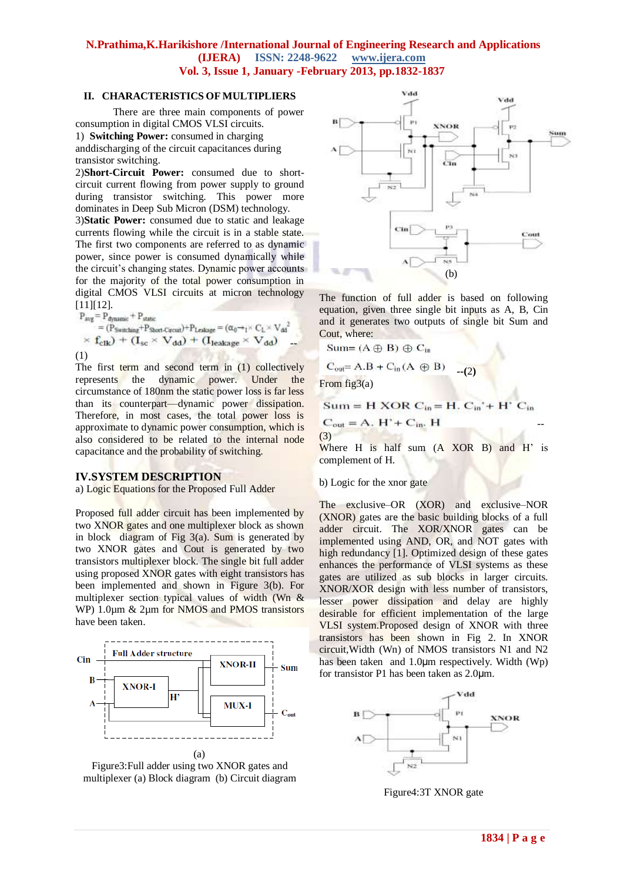#### **II. CHARACTERISTICS OF MULTIPLIERS**

There are three main components of power consumption in digital CMOS VLSI circuits.

1) **Switching Power:** consumed in charging anddischarging of the circuit capacitances during transistor switching.

2)**Short-Circuit Power:** consumed due to shortcircuit current flowing from power supply to ground during transistor switching. This power more dominates in Deep Sub Micron (DSM) technology.

3)**Static Power:** consumed due to static and leakage currents flowing while the circuit is in a stable state. The first two components are referred to as dynamic power, since power is consumed dynamically while the circuit's changing states. Dynamic power accounts for the majority of the total power consumption in digital CMOS VLSI circuits at micron technology [11][12].

$$
\begin{aligned} \mathrm{P_{avg}} & = \mathrm{P_{dynamic}} + \mathrm{P_{static}} \\ & = (\mathrm{P_{Swatching}} + \mathrm{P_{Short-Curcut}}) + \mathrm{P_{Leakage}} = (\alpha_0 +_1 \times \mathrm{C_L} \times \mathrm{V_{dd}}^2 \\ & \times \mathbf{f_{clk}}) \; + \; (\mathbf{I_{sc}} \times \; \mathbf{V_{dd}}) \; + \; (\mathbf{I_{leakage}} \times \; \mathbf{V_{dd}}) \\ & (1) \end{aligned}
$$

The first term and second term in (1) collectively represents the dynamic power. Under the circumstance of 180nm the static power loss is far less than its counterpart—dynamic power dissipation. Therefore, in most cases, the total power loss is approximate to dynamic power consumption, which is also considered to be related to the internal node capacitance and the probability of switching.

#### **IV.SYSTEM DESCRIPTION**

a) Logic Equations for the Proposed Full Adder

Proposed full adder circuit has been implemented by two XNOR gates and one multiplexer block as shown in block diagram of Fig 3(a). Sum is generated by two XNOR gates and Cout is generated by two transistors multiplexer block. The single bit full adder using proposed XNOR gates with eight transistors has been implemented and shown in Figure 3(b). For multiplexer section typical values of width (Wn & WP) 1.0μm & 2μm for NMOS and PMOS transistors have been taken.







The function of full adder is based on following equation, given three single bit inputs as A, B, Cin and it generates two outputs of single bit Sum and Cout, where:

$$
Sum=(A \oplus B) \oplus C_{in}
$$

$$
C_{\text{out}} = A.B + C_{\text{in}}(A \oplus B) \quad \underline{\quad \quad }_{\text{-}}(2)
$$

From fig3(a)

(3)

 $Sum = H XOR C<sub>in</sub> = H. C<sub>in</sub>' + H'$  $C_{in}$ 

 $C_{out} = A$ ,  $H' + C_{in}$ , H

Where H is half sum (A XOR B) and H' is complement of H.

#### b) Logic for the xnor gate

The exclusive–OR (XOR) and exclusive–NOR (XNOR) gates are the basic building blocks of a full adder circuit. The XOR/XNOR gates can be implemented using AND, OR, and NOT gates with high redundancy [1]. Optimized design of these gates enhances the performance of VLSI systems as these gates are utilized as sub blocks in larger circuits. XNOR/XOR design with less number of transistors, lesser power dissipation and delay are highly desirable for efficient implementation of the large VLSI system.Proposed design of XNOR with three transistors has been shown in Fig 2. In XNOR circuit,Width (Wn) of NMOS transistors N1 and N2 has been taken and 1.0μm respectively. Width (Wp) for transistor P1 has been taken as 2.0μm.



Figure4:3T XNOR gate

--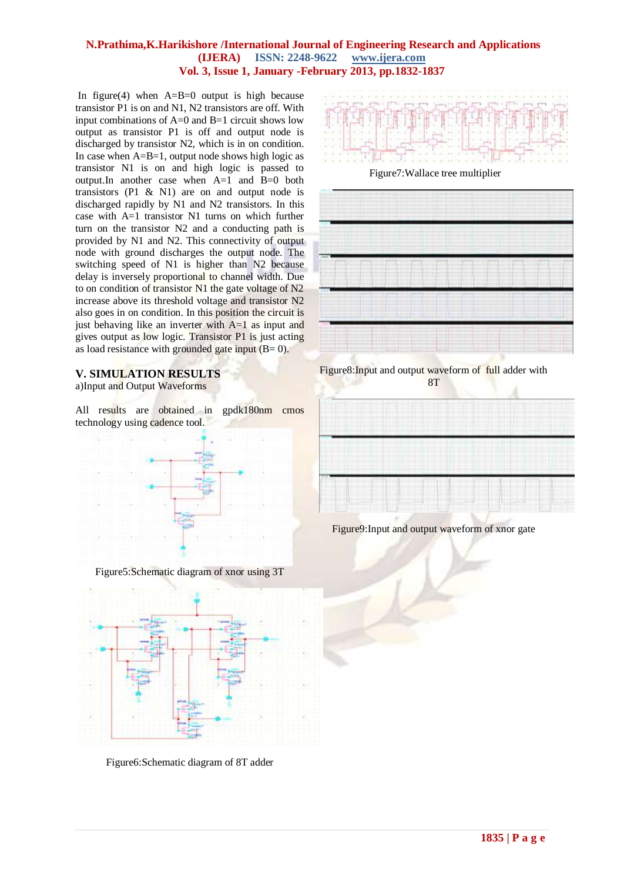In figure(4) when  $A=B=0$  output is high because transistor P1 is on and N1, N2 transistors are off. With input combinations of A=0 and B=1 circuit shows low output as transistor P1 is off and output node is discharged by transistor N2, which is in on condition. In case when  $A=B=1$ , output node shows high logic as transistor N1 is on and high logic is passed to output.In another case when A=1 and B=0 both transistors (P1  $\&$  N1) are on and output node is discharged rapidly by N1 and N2 transistors. In this case with A=1 transistor N1 turns on which further turn on the transistor N2 and a conducting path is provided by N1 and N2. This connectivity of output node with ground discharges the output node. The switching speed of N1 is higher than N2 because delay is inversely proportional to channel width. Due to on condition of transistor N1 the gate voltage of N2 increase above its threshold voltage and transistor N2 also goes in on condition. In this position the circuit is just behaving like an inverter with A=1 as input and gives output as low logic. Transistor P1 is just acting as load resistance with grounded gate input  $(B= 0)$ .

## **V. SIMULATION RESULTS**

a)Input and Output Waveforms

All results are obtained in gpdk180nm cmos technology using cadence tool.



Figure5:Schematic diagram of xnor using 3T



Figure6:Schematic diagram of 8T adder



Figure7:Wallace tree multiplier



Figure8:Input and output waveform of full adder with 8T



Figure9:Input and output waveform of xnor gate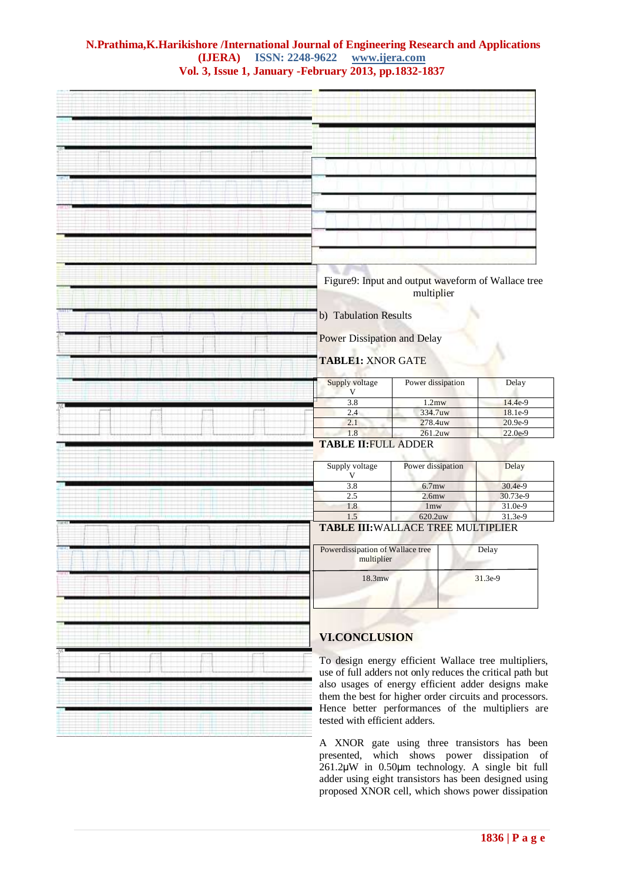

A XNOR gate using three transistors has been presented, which shows power dissipation of 261.2μW in 0.50μm technology. A single bit full adder using eight transistors has been designed using proposed XNOR cell, which shows power dissipation